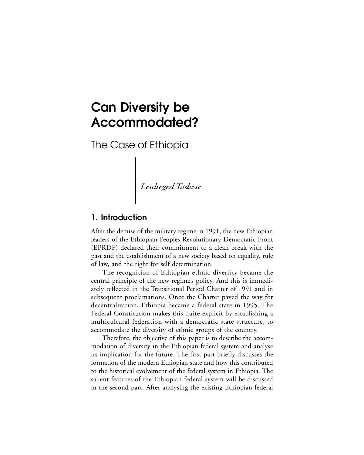# **Can Diversity be Accommodated?**

The Case of Ethiopia

*Leulseged Tadesse*

## **1. Introduction**

After the demise of the military regime in 1991, the new Ethiopian leaders of the Ethiopian Peoples Revolutionary Democratic Front (EPRDF) declared their commitment to a clean break with the past and the establishment of a new society based on equality, rule of law, and the right for self determination.

The recognition of Ethiopian ethnic diversity became the central principle of the new regime's policy. And this is immediately reflected in the Transitional Period Charter of 1991 and in subsequent proclamations. Once the Charter paved the way for decentralization, Ethiopia became a federal state in 1995. The Federal Constitution makes this quite explicit by establishing a multicultural federation with a democratic state structure, to accommodate the diversity of ethnic groups of the country.

Therefore, the objective of this paper is to describe the accommodation of diversity in the Ethiopian federal system and analyse its implication for the future. The first part briefly discusses the formation of the modern Ethiopian state and how this contributed to the historical evolvement of the federal system in Ethiopia. The salient features of the Ethiopian federal system will be discussed in the second part. After analysing the existing Ethiopian federal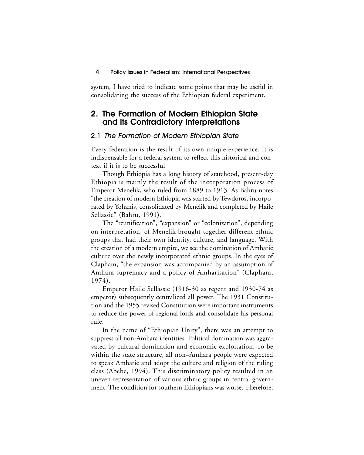system, I have tried to indicate some points that may be useful in consolidating the success of the Ethiopian federal experiment.

## **2. The Formation of Modern Ethiopian State and its Contradictory Interpretations**

#### 2.1 The Formation of Modern Ethiopian State

Every federation is the result of its own unique experience. It is indispensable for a federal system to reflect this historical and context if it is to be successful

Though Ethiopia has a long history of statehood, present-day Ethiopia is mainly the result of the incorporation process of Emperor Menelik, who ruled from 1889 to 1913. As Bahru notes "the creation of modern Ethiopia was started by Tewdoros, incorporated by Yohanis, consolidated by Menelik and completed by Haile Sellassie" (Bahru, 1991).

The "reunification", "expansion" or "colonization", depending on interpretation, of Menelik brought together different ethnic groups that had their own identity, culture, and language. With the creation of a modern empire, we see the domination of Amharic culture over the newly incorporated ethnic groups. In the eyes of Clapham, "the expansion was accompanied by an assumption of Amhara supremacy and a policy of Amharisation" (Clapham, 1974).

Emperor Haile Sellassie (1916-30 as regent and 1930-74 as emperor) subsequently centralized all power. The 1931 Constitution and the 1955 revised Constitution were important instruments to reduce the power of regional lords and consolidate his personal rule.

In the name of "Ethiopian Unity", there was an attempt to suppress all non-Amhara identities. Political domination was aggravated by cultural domination and economic exploitation. To be within the state structure, all non–Amhara people were expected to speak Amharic and adopt the culture and religion of the ruling class (Abebe, 1994). This discriminatory policy resulted in an uneven representation of various ethnic groups in central government. The condition for southern Ethiopians was worse. Therefore,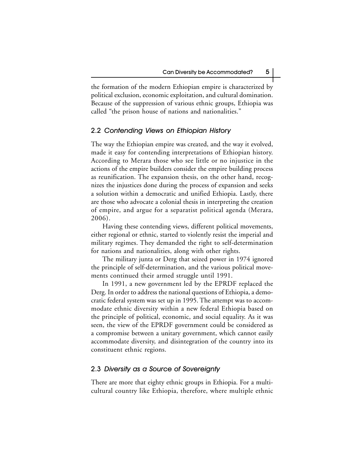the formation of the modern Ethiopian empire is characterized by political exclusion, economic exploitation, and cultural domination. Because of the suppression of various ethnic groups, Ethiopia was called "the prison house of nations and nationalities."

#### 2.2 Contending Views on Ethiopian History

The way the Ethiopian empire was created, and the way it evolved, made it easy for contending interpretations of Ethiopian history. According to Merara those who see little or no injustice in the actions of the empire builders consider the empire building process as reunification. The expansion thesis, on the other hand, recognizes the injustices done during the process of expansion and seeks a solution within a democratic and unified Ethiopia. Lastly, there are those who advocate a colonial thesis in interpreting the creation of empire, and argue for a separatist political agenda (Merara, 2006).

Having these contending views, different political movements, either regional or ethnic, started to violently resist the imperial and military regimes. They demanded the right to self-determination for nations and nationalities, along with other rights.

The military junta or Derg that seized power in 1974 ignored the principle of self-determination, and the various political movements continued their armed struggle until 1991.

In 1991, a new government led by the EPRDF replaced the Derg. In order to address the national questions of Ethiopia, a democratic federal system was set up in 1995. The attempt was to accommodate ethnic diversity within a new federal Ethiopia based on the principle of political, economic, and social equality. As it was seen, the view of the EPRDF government could be considered as a compromise between a unitary government, which cannot easily accommodate diversity, and disintegration of the country into its constituent ethnic regions.

#### 2.3 Diversity as a Source of Sovereignty

There are more that eighty ethnic groups in Ethiopia. For a multicultural country like Ethiopia, therefore, where multiple ethnic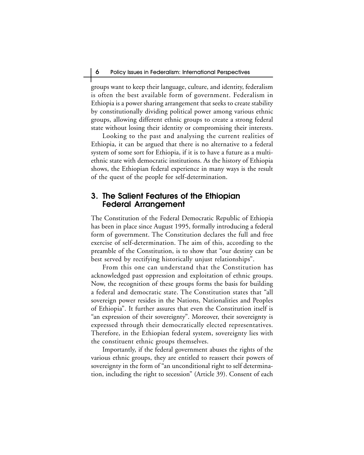groups want to keep their language, culture, and identity, federalism is often the best available form of government. Federalism in Ethiopia is a power sharing arrangement that seeks to create stability by constitutionally dividing political power among various ethnic groups, allowing different ethnic groups to create a strong federal state without losing their identity or compromising their interests.

Looking to the past and analysing the current realities of Ethiopia, it can be argued that there is no alternative to a federal system of some sort for Ethiopia, if it is to have a future as a multiethnic state with democratic institutions. As the history of Ethiopia shows, the Ethiopian federal experience in many ways is the result of the quest of the people for self-determination.

## **3. The Salient Features of the Ethiopian Federal Arrangement**

The Constitution of the Federal Democratic Republic of Ethiopia has been in place since August 1995, formally introducing a federal form of government. The Constitution declares the full and free exercise of self-determination. The aim of this, according to the preamble of the Constitution, is to show that "our destiny can be best served by rectifying historically unjust relationships".

From this one can understand that the Constitution has acknowledged past oppression and exploitation of ethnic groups. Now, the recognition of these groups forms the basis for building a federal and democratic state. The Constitution states that "all sovereign power resides in the Nations, Nationalities and Peoples of Ethiopia". It further assures that even the Constitution itself is "an expression of their sovereignty". Moreover, their sovereignty is expressed through their democratically elected representatives. Therefore, in the Ethiopian federal system, sovereignty lies with the constituent ethnic groups themselves.

Importantly, if the federal government abuses the rights of the various ethnic groups, they are entitled to reassert their powers of sovereignty in the form of "an unconditional right to self determination, including the right to secession" (Article 39). Consent of each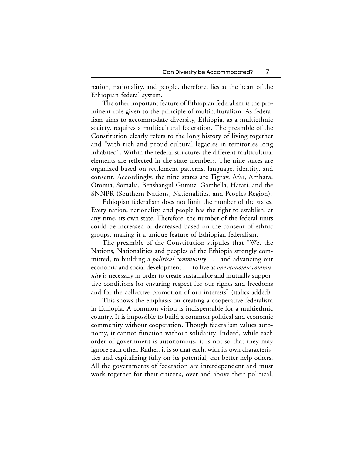nation, nationality, and people, therefore, lies at the heart of the Ethiopian federal system.

The other important feature of Ethiopian federalism is the prominent role given to the principle of multiculturalism. As federalism aims to accommodate diversity, Ethiopia, as a multiethnic society, requires a multicultural federation. The preamble of the Constitution clearly refers to the long history of living together and "with rich and proud cultural legacies in territories long inhabited". Within the federal structure, the different multicultural elements are reflected in the state members. The nine states are organized based on settlement patterns, language, identity, and consent. Accordingly, the nine states are Tigray, Afar, Amhara, Oromia, Somalia, Benshangul Gumuz, Gambella, Harari, and the SNNPR (Southern Nations, Nationalities, and Peoples Region).

Ethiopian federalism does not limit the number of the states. Every nation, nationality, and people has the right to establish, at any time, its own state. Therefore, the number of the federal units could be increased or decreased based on the consent of ethnic groups, making it a unique feature of Ethiopian federalism.

The preamble of the Constitution stipules that "We, the Nations, Nationalities and peoples of the Ethiopia strongly committed, to building a *political community* . . . and advancing our economic and social development . . . to live as *one economic community* is necessary in order to create sustainable and mutually supportive conditions for ensuring respect for our rights and freedoms and for the collective promotion of our interests" (italics added).

This shows the emphasis on creating a cooperative federalism in Ethiopia. A common vision is indispensable for a multiethnic country. It is impossible to build a common political and economic community without cooperation. Though federalism values autonomy, it cannot function without solidarity. Indeed, while each order of government is autonomous, it is not so that they may ignore each other. Rather, it is so that each, with its own characteristics and capitalizing fully on its potential, can better help others. All the governments of federation are interdependent and must work together for their citizens, over and above their political,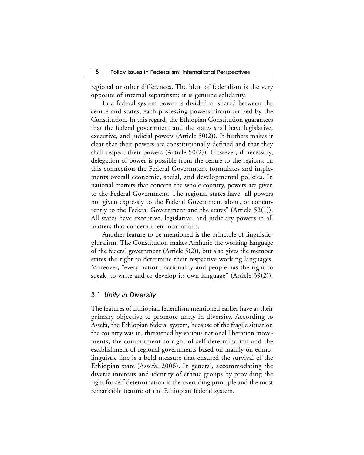regional or other differences. The ideal of federalism is the very opposite of internal separatism; it is genuine solidarity.

In a federal system power is divided or shared between the centre and states, each possessing powers circumscribed by the Constitution. In this regard, the Ethiopian Constitution guarantees that the federal government and the states shall have legislative, executive, and judicial powers (Article 50(2)). It furthers makes it clear that their powers are constitutionally defined and that they shall respect their powers (Article 50(2)). However, if necessary, delegation of power is possible from the centre to the regions. In this connection the Federal Government formulates and implements overall economic, social, and developmental policies. In national matters that concern the whole country, powers are given to the Federal Government. The regional states have "all powers not given expressly to the Federal Government alone, or concurrently to the Federal Government and the states" (Article 52(1)). All states have executive, legislative, and judiciary powers in all matters that concern their local affairs.

Another feature to be mentioned is the principle of linguisticpluralism. The Constitution makes Amharic the working language of the federal government (Article 5(2)), but also gives the member states the right to determine their respective working languages. Moreover, "every nation, nationality and people has the right to speak, to write and to develop its own language" (Article 39(2)).

#### 3.1 Unity in Diversity

The features of Ethiopian federalism mentioned earlier have as their primary objective to promote unity in diversity. According to Assefa, the Ethiopian federal system, because of the fragile situation the country was in, threatened by various national liberation movements, the commitment to right of self-determination and the establishment of regional governments based on mainly on ethnolinguistic line is a bold measure that ensured the survival of the Ethiopian state (Assefa, 2006). In general, accommodating the diverse interests and identity of ethnic groups by providing the right for self-determination is the overriding principle and the most remarkable feature of the Ethiopian federal system.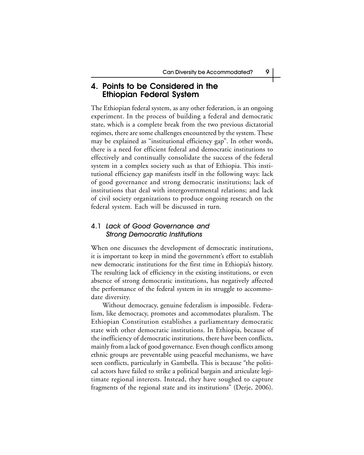## **4. Points to be Considered in the Ethiopian Federal System**

The Ethiopian federal system, as any other federation, is an ongoing experiment. In the process of building a federal and democratic state, which is a complete break from the two previous dictatorial regimes, there are some challenges encountered by the system. These may be explained as "institutional efficiency gap". In other words, there is a need for efficient federal and democratic institutions to effectively and continually consolidate the success of the federal system in a complex society such as that of Ethiopia. This institutional efficiency gap manifests itself in the following ways: lack of good governance and strong democratic institutions; lack of institutions that deal with intergovernmental relations; and lack of civil society organizations to produce ongoing research on the federal system. Each will be discussed in turn.

## 4.1 Lack of Good Governance and Strong Democratic Institutions

When one discusses the development of democratic institutions, it is important to keep in mind the government's effort to establish new democratic institutions for the first time in Ethiopia's history. The resulting lack of efficiency in the existing institutions, or even absence of strong democratic institutions, has negatively affected the performance of the federal system in its struggle to accommodate diversity.

Without democracy, genuine federalism is impossible. Federalism, like democracy, promotes and accommodates pluralism. The Ethiopian Constitution establishes a parliamentary democratic state with other democratic institutions. In Ethiopia, because of the inefficiency of democratic institutions, there have been conflicts, mainly from a lack of good governance. Even though conflicts among ethnic groups are preventable using peaceful mechanisms, we have seen conflicts, particularly in Gambella. This is because "the political actors have failed to strike a political bargain and articulate legitimate regional interests. Instead, they have soughed to capture fragments of the regional state and its institutions" (Derje, 2006).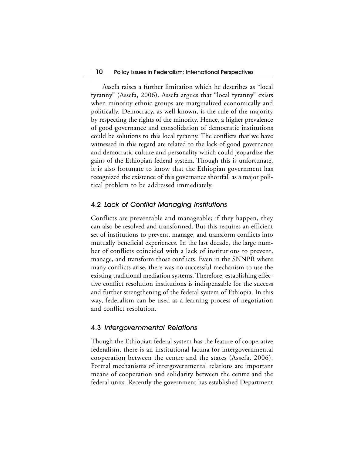Assefa raises a further limitation which he describes as "local tyranny" (Assefa, 2006). Assefa argues that "local tyranny" exists when minority ethnic groups are marginalized economically and politically. Democracy, as well known, is the rule of the majority by respecting the rights of the minority. Hence, a higher prevalence of good governance and consolidation of democratic institutions could be solutions to this local tyranny. The conflicts that we have witnessed in this regard are related to the lack of good governance and democratic culture and personality which could jeopardize the gains of the Ethiopian federal system. Though this is unfortunate, it is also fortunate to know that the Ethiopian government has recognized the existence of this governance shortfall as a major political problem to be addressed immediately.

### 4.2 Lack of Conflict Managing Institutions

Conflicts are preventable and manageable; if they happen, they can also be resolved and transformed. But this requires an efficient set of institutions to prevent, manage, and transform conflicts into mutually beneficial experiences. In the last decade, the large number of conflicts coincided with a lack of institutions to prevent, manage, and transform those conflicts. Even in the SNNPR where many conflicts arise, there was no successful mechanism to use the existing traditional mediation systems. Therefore, establishing effective conflict resolution institutions is indispensable for the success and further strengthening of the federal system of Ethiopia. In this way, federalism can be used as a learning process of negotiation and conflict resolution.

### 4.3 Intergovernmental Relations

Though the Ethiopian federal system has the feature of cooperative federalism, there is an institutional lacuna for intergovernmental cooperation between the centre and the states (Assefa, 2006). Formal mechanisms of intergovernmental relations are important means of cooperation and solidarity between the centre and the federal units. Recently the government has established Department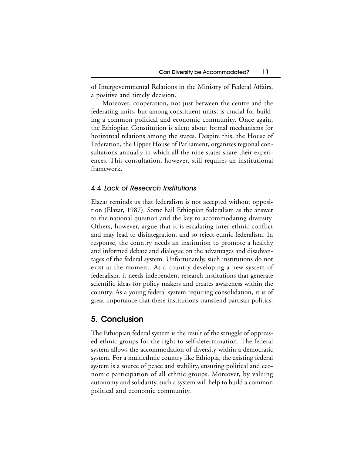of Intergovernmental Relations in the Ministry of Federal Affairs, a positive and timely decision.

Moreover, cooperation, not just between the centre and the federating units, but among constituent units, is crucial for building a common political and economic community. Once again, the Ethiopian Constitution is silent about formal mechanisms for horizontal relations among the states. Despite this, the House of Federation, the Upper House of Parliament, organizes regional consultations annually in which all the nine states share their experiences. This consultation, however, still requires an institutional framework.

#### 4.4 Lack of Research Institutions

Elazar reminds us that federalism is not accepted without opposition (Elazar, 1987). Some hail Ethiopian federalism as the answer to the national question and the key to accommodating diversity. Others, however, argue that it is escalating inter-ethnic conflict and may lead to disintegration, and so reject ethnic federalism. In response, the country needs an institution to promote a healthy and informed debate and dialogue on the advantages and disadvantages of the federal system. Unfortunately, such institutions do not exist at the moment. As a country developing a new system of federalism, it needs independent research institutions that generate scientific ideas for policy makers and creates awareness within the country. As a young federal system requiring consolidation, it is of great importance that these institutions transcend partisan politics.

## **5. Conclusion**

The Ethiopian federal system is the result of the struggle of oppressed ethnic groups for the right to self-determination. The federal system allows the accommodation of diversity within a democratic system. For a multiethnic country like Ethiopia, the existing federal system is a source of peace and stability, ensuring political and economic participation of all ethnic groups. Moreover, by valuing autonomy and solidarity, such a system will help to build a common political and economic community.